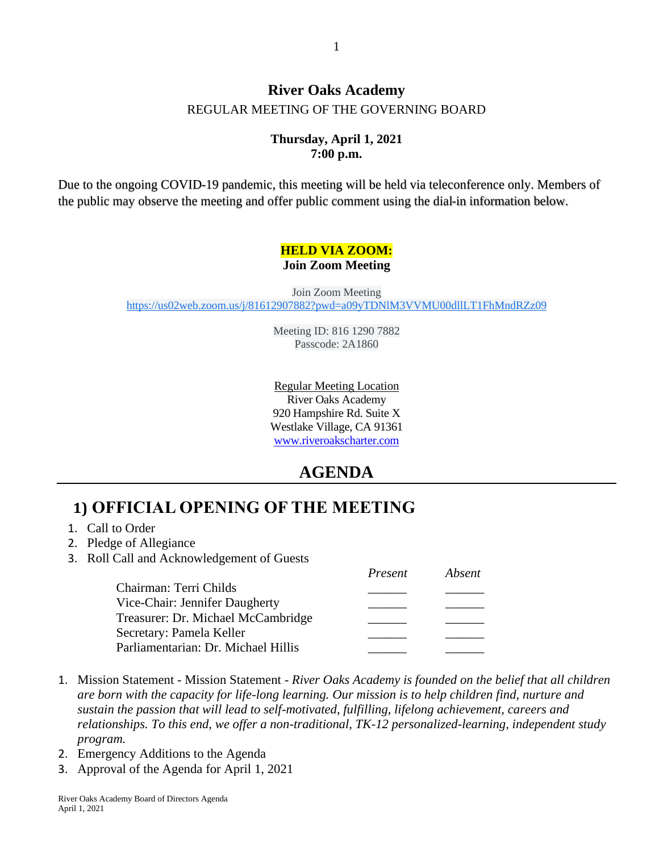### **River Oaks Academy** REGULAR MEETING OF THE GOVERNING BOARD

### **Thursday, April 1, 2021 7:00 p.m.**

Due to the ongoing COVID-19 pandemic, this meeting will be held via teleconference only. Members of the public may observe the meeting and offer public comment using the dial-in information below.

#### **HELD VIA ZOOM: Join Zoom Meeting**

Join Zoom Meeting [https://us02web.zoom.us/j/81612907882?pwd=a09yTDNlM3VVMU00dllLT1FhMndRZz09](https://www.google.com/url?q=https://us02web.zoom.us/j/81612907882?pwd%3Da09yTDNlM3VVMU00dllLT1FhMndRZz09&sa=D&source=calendar&ust=1616960249623000&usg=AOvVaw0YWvtCM50bySofoQtkrb87)

> Meeting ID: 816 1290 7882 Passcode: 2A1860

Regular Meeting Location River Oaks Academy 920 Hampshire Rd. Suite X Westlake Village, CA 91361 [www.riveroakscharter.com](http://www.riveroakscharter.com/)

## **AGENDA**

# **1) OFFICIAL OPENING OF THE MEETING**

- 1. Call to Order
- 2. Pledge of Allegiance
- 3. Roll Call and Acknowledgement of Guests

|                                     | Present | Absent |
|-------------------------------------|---------|--------|
| Chairman: Terri Childs              |         |        |
| Vice-Chair: Jennifer Daugherty      |         |        |
| Treasurer: Dr. Michael McCambridge  |         |        |
| Secretary: Pamela Keller            |         |        |
| Parliamentarian: Dr. Michael Hillis |         |        |

- 1. Mission Statement Mission Statement *River Oaks Academy is founded on the belief that all children are born with the capacity for life-long learning. Our mission is to help children find, nurture and sustain the passion that will lead to self-motivated, fulfilling, lifelong achievement, careers and relationships. To this end, we offer a non-traditional, TK-12 personalized-learning, independent study program.*
- 2. Emergency Additions to the Agenda
- 3. Approval of the Agenda for April 1, 2021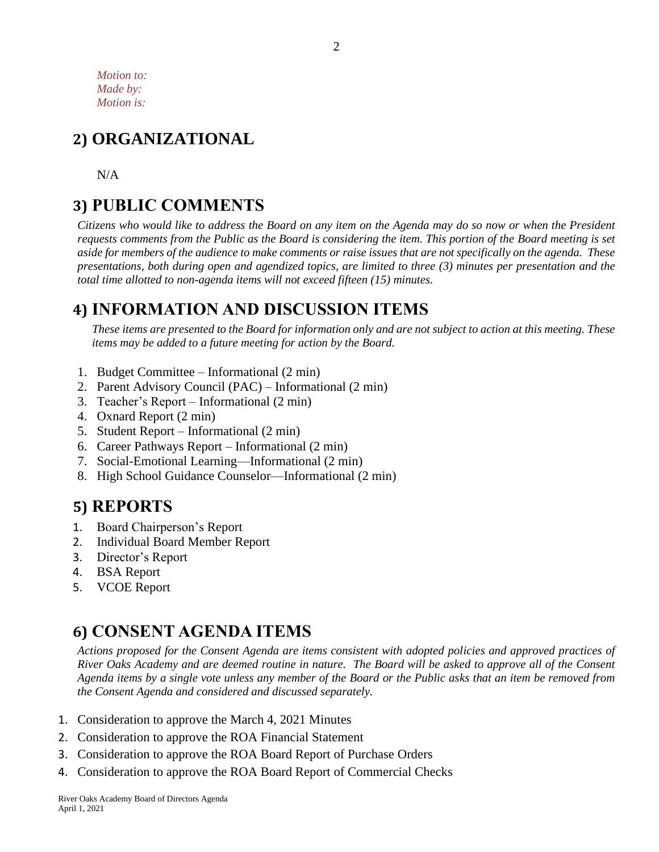*Motion to: Made by: Motion is:*

# **2) ORGANIZATIONAL**

N/A

# **3) PUBLIC COMMENTS**

*Citizens who would like to address the Board on any item on the Agenda may do so now or when the President requests comments from the Public as the Board is considering the item. This portion of the Board meeting is set aside for members of the audience to make comments or raise issues that are not specifically on the agenda. These presentations, both during open and agendized topics, are limited to three (3) minutes per presentation and the total time allotted to non-agenda items will not exceed fifteen (15) minutes.*

## **4) INFORMATION AND DISCUSSION ITEMS**

*These items are presented to the Board for information only and are not subject to action at this meeting. These items may be added to a future meeting for action by the Board.*

- 1. Budget Committee Informational (2 min)
- 2. Parent Advisory Council (PAC) Informational (2 min)
- 3. Teacher's Report Informational (2 min)
- 4. Oxnard Report (2 min)
- 5. Student Report Informational (2 min)
- 6. Career Pathways Report Informational (2 min)
- 7. Social-Emotional Learning—Informational (2 min)
- 8. High School Guidance Counselor—Informational (2 min)

# **5) REPORTS**

- 1. Board Chairperson's Report
- 2. Individual Board Member Report
- 3. Director's Report
- 4. BSA Report
- 5. VCOE Report

# **6) CONSENT AGENDA ITEMS**

*Actions proposed for the Consent Agenda are items consistent with adopted policies and approved practices of River Oaks Academy and are deemed routine in nature. The Board will be asked to approve all of the Consent Agenda items by a single vote unless any member of the Board or the Public asks that an item be removed from the Consent Agenda and considered and discussed separately.*

- 1. Consideration to approve the March 4, 2021 Minutes
- 2. Consideration to approve the ROA Financial Statement
- 3. Consideration to approve the ROA Board Report of Purchase Orders
- 4. Consideration to approve the ROA Board Report of Commercial Checks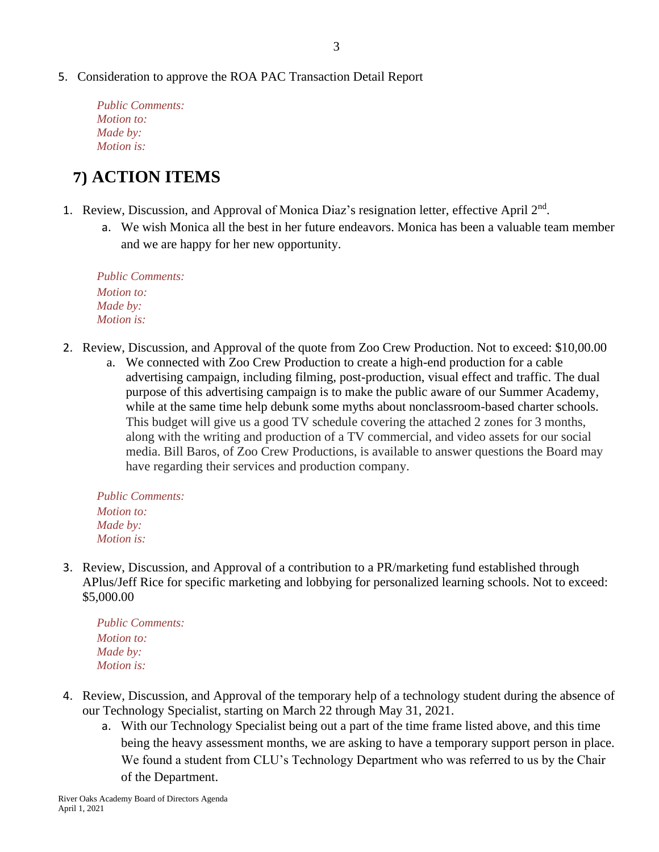#### 5. Consideration to approve the ROA PAC Transaction Detail Report

*Public Comments: Motion to: Made by: Motion is:*

# **7) ACTION ITEMS**

- 1. Review, Discussion, and Approval of Monica Diaz's resignation letter, effective April 2<sup>nd</sup>.
	- a. We wish Monica all the best in her future endeavors. Monica has been a valuable team member and we are happy for her new opportunity.

*Public Comments: Motion to: Made by: Motion is:*

- 2. Review, Discussion, and Approval of the quote from Zoo Crew Production. Not to exceed: \$10,00.00
	- a. We connected with Zoo Crew Production to create a high-end production for a cable advertising campaign, including filming, post-production, visual effect and traffic. The dual purpose of this advertising campaign is to make the public aware of our Summer Academy, while at the same time help debunk some myths about nonclassroom-based charter schools. This budget will give us a good TV schedule covering the attached 2 zones for 3 months, along with the writing and production of a TV commercial, and video assets for our social media. Bill Baros, of Zoo Crew Productions, is available to answer questions the Board may have regarding their services and production company.

*Public Comments: Motion to: Made by: Motion is:*

3. Review, Discussion, and Approval of a contribution to a PR/marketing fund established through APlus/Jeff Rice for specific marketing and lobbying for personalized learning schools. Not to exceed: \$5,000.00

*Public Comments: Motion to: Made by: Motion is:*

- 4. Review, Discussion, and Approval of the temporary help of a technology student during the absence of our Technology Specialist, starting on March 22 through May 31, 2021.
	- a. With our Technology Specialist being out a part of the time frame listed above, and this time being the heavy assessment months, we are asking to have a temporary support person in place. We found a student from CLU's Technology Department who was referred to us by the Chair of the Department.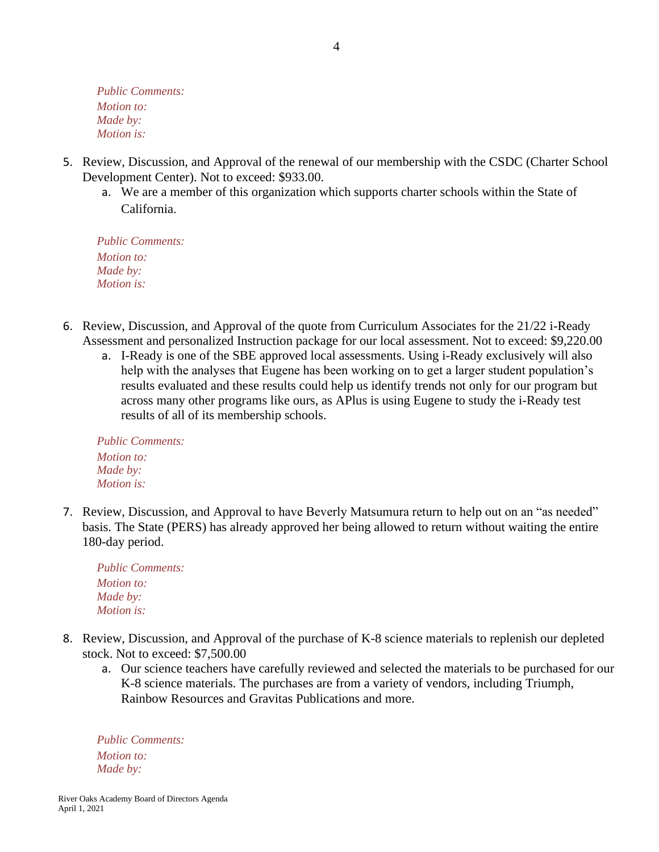*Public Comments: Motion to: Made by: Motion is:*

- 5. Review, Discussion, and Approval of the renewal of our membership with the CSDC (Charter School Development Center). Not to exceed: \$933.00.
	- a. We are a member of this organization which supports charter schools within the State of California.

*Public Comments: Motion to: Made by: Motion is:*

- 6. Review, Discussion, and Approval of the quote from Curriculum Associates for the 21/22 i-Ready Assessment and personalized Instruction package for our local assessment. Not to exceed: \$9,220.00
	- a. I-Ready is one of the SBE approved local assessments. Using i-Ready exclusively will also help with the analyses that Eugene has been working on to get a larger student population's results evaluated and these results could help us identify trends not only for our program but across many other programs like ours, as APlus is using Eugene to study the i-Ready test results of all of its membership schools.

*Public Comments: Motion to: Made by: Motion is:*

7. Review, Discussion, and Approval to have Beverly Matsumura return to help out on an "as needed" basis. The State (PERS) has already approved her being allowed to return without waiting the entire 180-day period.

| <b>Public Comments:</b> |
|-------------------------|
| <i>Motion to:</i>       |
| Made by:                |
| <i>Motion is:</i>       |

- 8. Review, Discussion, and Approval of the purchase of K-8 science materials to replenish our depleted stock. Not to exceed: \$7,500.00
	- a. Our science teachers have carefully reviewed and selected the materials to be purchased for our K-8 science materials. The purchases are from a variety of vendors, including Triumph, Rainbow Resources and Gravitas Publications and more.

*Public Comments: Motion to: Made by:*